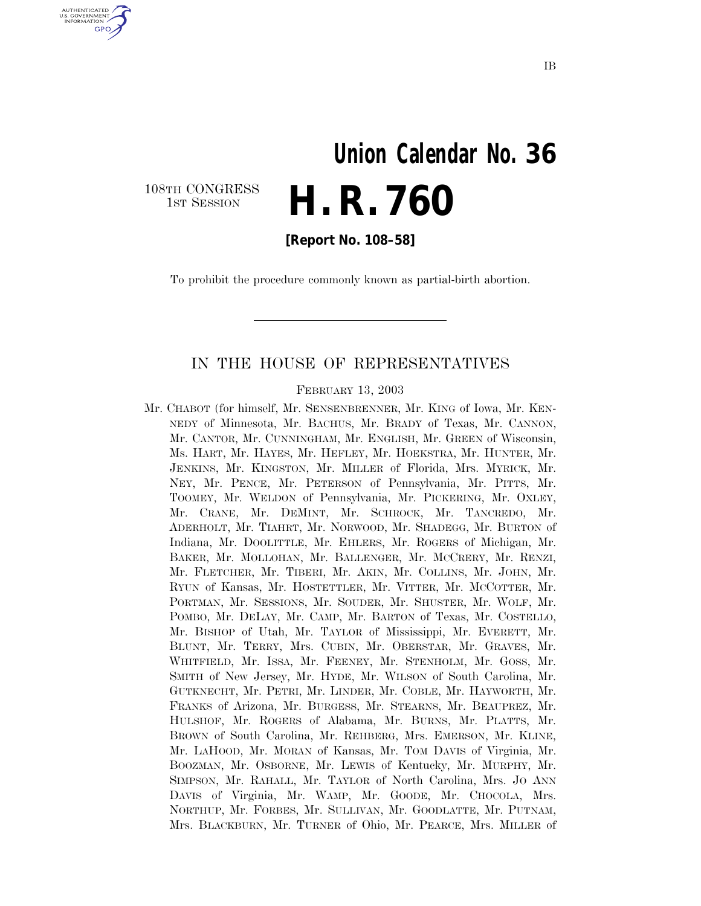# **Union Calendar No. 36 H. R. 760**

108TH CONGRESS<br>1st Session

U.S. GOVERNMENT **GPO** 

**[Report No. 108–58]** 

To prohibit the procedure commonly known as partial-birth abortion.

#### IN THE HOUSE OF REPRESENTATIVES

FEBRUARY 13, 2003

Mr. CHABOT (for himself, Mr. SENSENBRENNER, Mr. KING of Iowa, Mr. KEN-NEDY of Minnesota, Mr. BACHUS, Mr. BRADY of Texas, Mr. CANNON, Mr. CANTOR, Mr. CUNNINGHAM, Mr. ENGLISH, Mr. GREEN of Wisconsin, Ms. HART, Mr. HAYES, Mr. HEFLEY, Mr. HOEKSTRA, Mr. HUNTER, Mr. JENKINS, Mr. KINGSTON, Mr. MILLER of Florida, Mrs. MYRICK, Mr. NEY, Mr. PENCE, Mr. PETERSON of Pennsylvania, Mr. PITTS, Mr. TOOMEY, Mr. WELDON of Pennsylvania, Mr. PICKERING, Mr. OXLEY, Mr. CRANE, Mr. DEMINT, Mr. SCHROCK, Mr. TANCREDO, Mr. ADERHOLT, Mr. TIAHRT, Mr. NORWOOD, Mr. SHADEGG, Mr. BURTON of Indiana, Mr. DOOLITTLE, Mr. EHLERS, Mr. ROGERS of Michigan, Mr. BAKER, Mr. MOLLOHAN, Mr. BALLENGER, Mr. MCCRERY, Mr. RENZI, Mr. FLETCHER, Mr. TIBERI, Mr. AKIN, Mr. COLLINS, Mr. JOHN, Mr. RYUN of Kansas, Mr. HOSTETTLER, Mr. VITTER, Mr. MCCOTTER, Mr. PORTMAN, Mr. SESSIONS, Mr. SOUDER, Mr. SHUSTER, Mr. WOLF, Mr. POMBO, Mr. DELAY, Mr. CAMP, Mr. BARTON of Texas, Mr. COSTELLO, Mr. BISHOP of Utah, Mr. TAYLOR of Mississippi, Mr. EVERETT, Mr. BLUNT, Mr. TERRY, Mrs. CUBIN, Mr. OBERSTAR, Mr. GRAVES, Mr. WHITFIELD, Mr. ISSA, Mr. FEENEY, Mr. STENHOLM, Mr. GOSS, Mr. SMITH of New Jersey, Mr. HYDE, Mr. WILSON of South Carolina, Mr. GUTKNECHT, Mr. PETRI, Mr. LINDER, Mr. COBLE, Mr. HAYWORTH, Mr. FRANKS of Arizona, Mr. BURGESS, Mr. STEARNS, Mr. BEAUPREZ, Mr. HULSHOF, Mr. ROGERS of Alabama, Mr. BURNS, Mr. PLATTS, Mr. BROWN of South Carolina, Mr. REHBERG, Mrs. EMERSON, Mr. KLINE, Mr. LAHOOD, Mr. MORAN of Kansas, Mr. TOM DAVIS of Virginia, Mr. BOOZMAN, Mr. OSBORNE, Mr. LEWIS of Kentucky, Mr. MURPHY, Mr. SIMPSON, Mr. RAHALL, Mr. TAYLOR of North Carolina, Mrs. JO ANN DAVIS of Virginia, Mr. WAMP, Mr. GOODE, Mr. CHOCOLA, Mrs. NORTHUP, Mr. FORBES, Mr. SULLIVAN, Mr. GOODLATTE, Mr. PUTNAM, Mrs. BLACKBURN, Mr. TURNER of Ohio, Mr. PEARCE, Mrs. MILLER of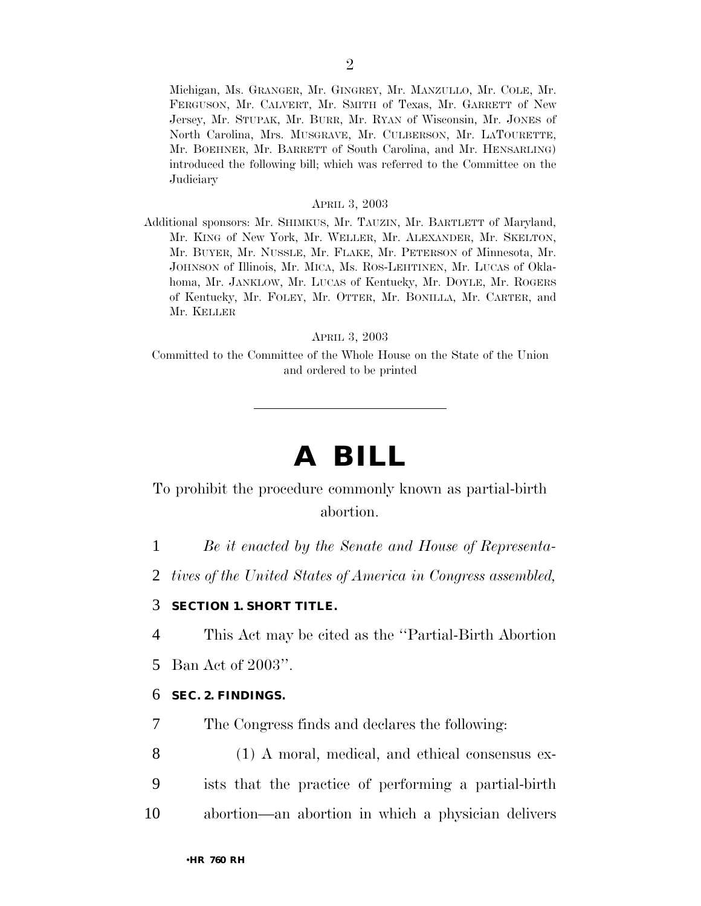Michigan, Ms. GRANGER, Mr. GINGREY, Mr. MANZULLO, Mr. COLE, Mr. FERGUSON, Mr. CALVERT, Mr. SMITH of Texas, Mr. GARRETT of New Jersey, Mr. STUPAK, Mr. BURR, Mr. RYAN of Wisconsin, Mr. JONES of North Carolina, Mrs. MUSGRAVE, Mr. CULBERSON, Mr. LATOURETTE, Mr. BOEHNER, Mr. BARRETT of South Carolina, and Mr. HENSARLING) introduced the following bill; which was referred to the Committee on the **Judiciary** 

#### APRIL 3, 2003

Additional sponsors: Mr. SHIMKUS, Mr. TAUZIN, Mr. BARTLETT of Maryland, Mr. KING of New York, Mr. WELLER, Mr. ALEXANDER, Mr. SKELTON, Mr. BUYER, Mr. NUSSLE, Mr. FLAKE, Mr. PETERSON of Minnesota, Mr. JOHNSON of Illinois, Mr. MICA, Ms. ROS-LEHTINEN, Mr. LUCAS of Oklahoma, Mr. JANKLOW, Mr. LUCAS of Kentucky, Mr. DOYLE, Mr. ROGERS of Kentucky, Mr. FOLEY, Mr. OTTER, Mr. BONILLA, Mr. CARTER, and Mr. KELLER

APRIL 3, 2003

Committed to the Committee of the Whole House on the State of the Union and ordered to be printed

# **A BILL**

### To prohibit the procedure commonly known as partial-birth abortion.

1 *Be it enacted by the Senate and House of Representa-*

2 *tives of the United States of America in Congress assembled,* 

#### 3 **SECTION 1. SHORT TITLE.**

4 This Act may be cited as the ''Partial-Birth Abortion

5 Ban Act of 2003''.

#### 6 **SEC. 2. FINDINGS.**

7 The Congress finds and declares the following:

8 (1) A moral, medical, and ethical consensus ex-9 ists that the practice of performing a partial-birth 10 abortion—an abortion in which a physician delivers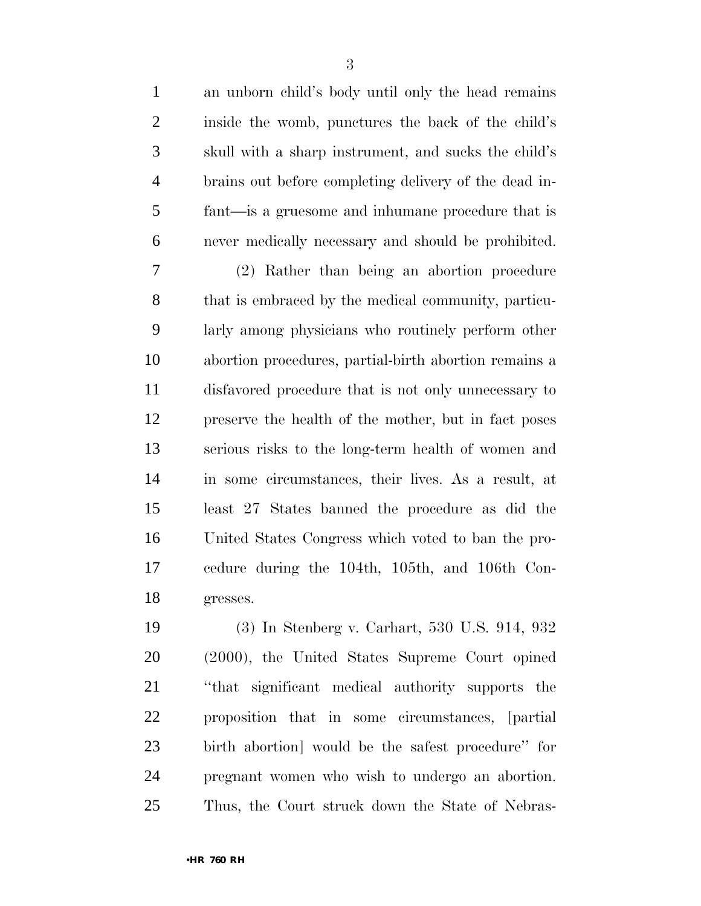an unborn child's body until only the head remains inside the womb, punctures the back of the child's skull with a sharp instrument, and sucks the child's brains out before completing delivery of the dead in- fant—is a gruesome and inhumane procedure that is never medically necessary and should be prohibited. (2) Rather than being an abortion procedure that is embraced by the medical community, particu- larly among physicians who routinely perform other abortion procedures, partial-birth abortion remains a disfavored procedure that is not only unnecessary to preserve the health of the mother, but in fact poses serious risks to the long-term health of women and in some circumstances, their lives. As a result, at least 27 States banned the procedure as did the United States Congress which voted to ban the pro- cedure during the 104th, 105th, and 106th Con- gresses. (3) In Stenberg v. Carhart, 530 U.S. 914, 932 (2000), the United States Supreme Court opined ''that significant medical authority supports the proposition that in some circumstances, [partial

 birth abortion] would be the safest procedure'' for pregnant women who wish to undergo an abortion. Thus, the Court struck down the State of Nebras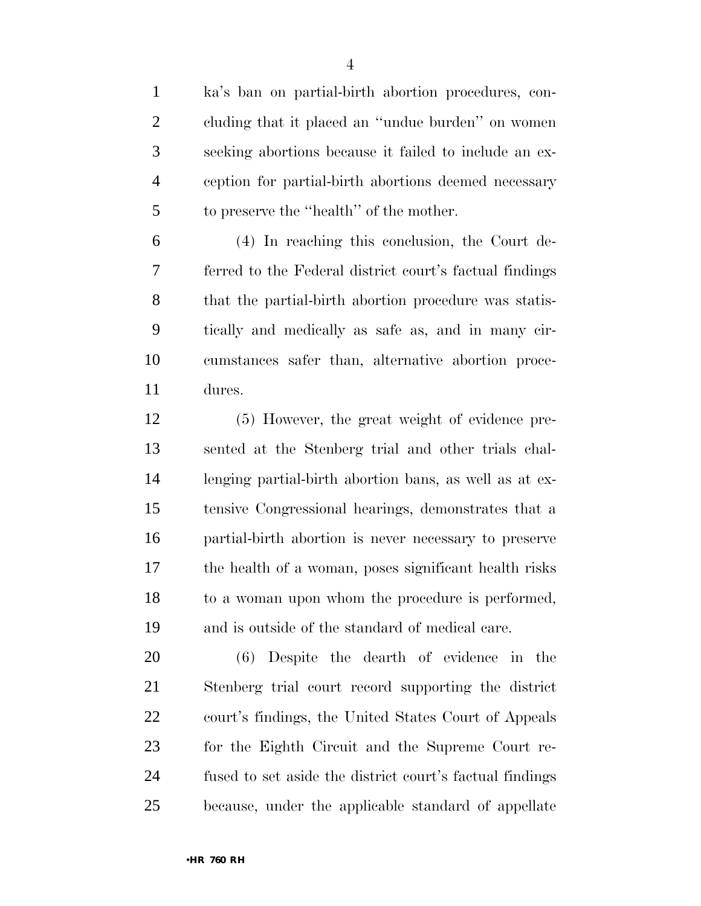ka's ban on partial-birth abortion procedures, con- cluding that it placed an ''undue burden'' on women seeking abortions because it failed to include an ex- ception for partial-birth abortions deemed necessary to preserve the ''health'' of the mother.

 (4) In reaching this conclusion, the Court de- ferred to the Federal district court's factual findings that the partial-birth abortion procedure was statis- tically and medically as safe as, and in many cir- cumstances safer than, alternative abortion proce-dures.

 (5) However, the great weight of evidence pre- sented at the Stenberg trial and other trials chal- lenging partial-birth abortion bans, as well as at ex- tensive Congressional hearings, demonstrates that a partial-birth abortion is never necessary to preserve the health of a woman, poses significant health risks to a woman upon whom the procedure is performed, and is outside of the standard of medical care.

 (6) Despite the dearth of evidence in the Stenberg trial court record supporting the district court's findings, the United States Court of Appeals for the Eighth Circuit and the Supreme Court re- fused to set aside the district court's factual findings because, under the applicable standard of appellate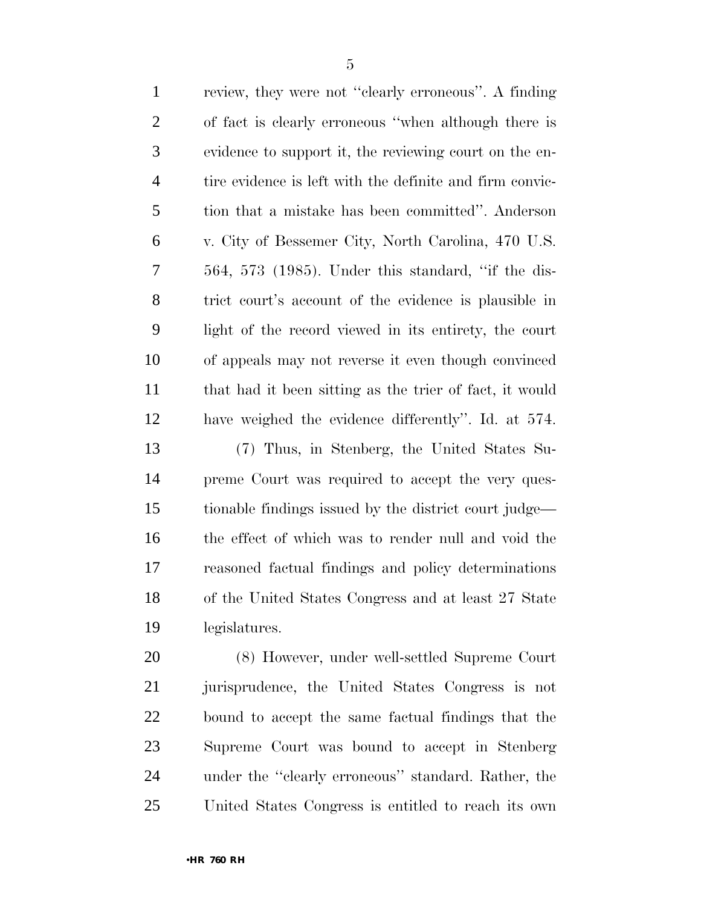| $\mathbf{1}$   | review, they were not "clearly erroneous". A finding     |
|----------------|----------------------------------------------------------|
| $\overline{2}$ | of fact is clearly erroneous "when although there is     |
| 3              | evidence to support it, the reviewing court on the en-   |
| $\overline{4}$ | tire evidence is left with the definite and firm convic- |
| 5              | tion that a mistake has been committed". Anderson        |
| 6              | v. City of Bessemer City, North Carolina, 470 U.S.       |
| $\overline{7}$ | $564, 573$ (1985). Under this standard, "if the dis-     |
| 8              | trict court's account of the evidence is plausible in    |
| 9              | light of the record viewed in its entirety, the court    |
| 10             | of appeals may not reverse it even though convinced      |
| 11             | that had it been sitting as the trier of fact, it would  |
| 12             | have weighed the evidence differently". Id. at 574.      |
| 13             | (7) Thus, in Stenberg, the United States Su-             |
| 14             | preme Court was required to accept the very ques-        |
| 15             | tionable findings issued by the district court judge—    |
| 16             | the effect of which was to render null and void the      |
| 17             | reasoned factual findings and policy determinations      |
| 18             | of the United States Congress and at least 27 State      |
| 19             | legislatures.                                            |
| 20             | (8) However, under well-settled Supreme Court            |
|                |                                                          |

 jurisprudence, the United States Congress is not bound to accept the same factual findings that the Supreme Court was bound to accept in Stenberg under the ''clearly erroneous'' standard. Rather, the United States Congress is entitled to reach its own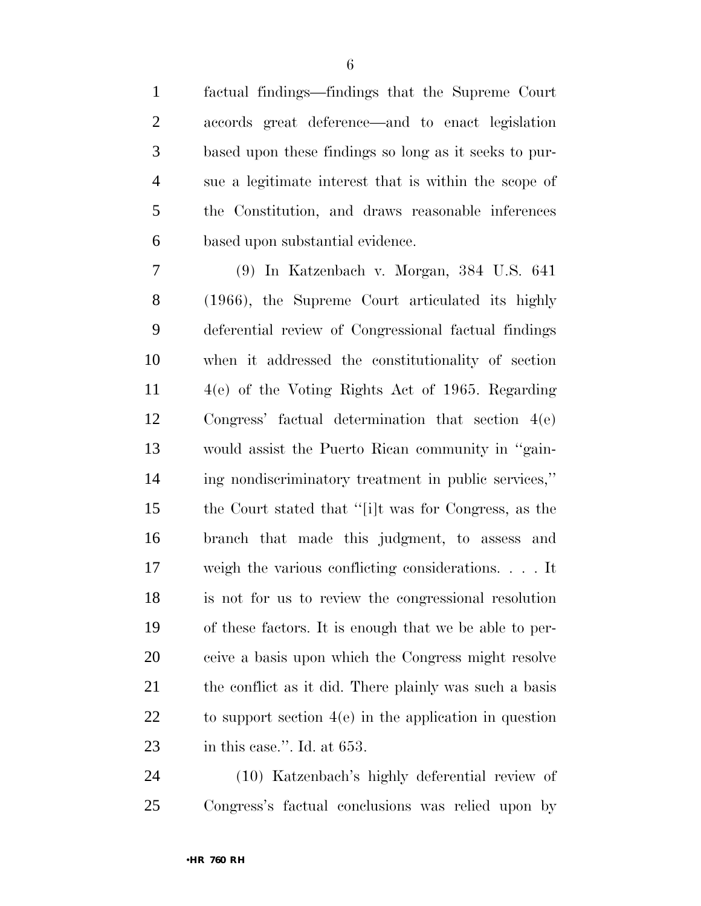factual findings—findings that the Supreme Court accords great deference—and to enact legislation based upon these findings so long as it seeks to pur- sue a legitimate interest that is within the scope of the Constitution, and draws reasonable inferences based upon substantial evidence.

 (9) In Katzenbach v. Morgan, 384 U.S. 641 (1966), the Supreme Court articulated its highly deferential review of Congressional factual findings when it addressed the constitutionality of section 4(e) of the Voting Rights Act of 1965. Regarding Congress' factual determination that section 4(e) would assist the Puerto Rican community in ''gain- ing nondiscriminatory treatment in public services,'' the Court stated that ''[i]t was for Congress, as the branch that made this judgment, to assess and weigh the various conflicting considerations. . . . It is not for us to review the congressional resolution of these factors. It is enough that we be able to per- ceive a basis upon which the Congress might resolve the conflict as it did. There plainly was such a basis to support section 4(e) in the application in question in this case.''. Id. at 653.

 (10) Katzenbach's highly deferential review of Congress's factual conclusions was relied upon by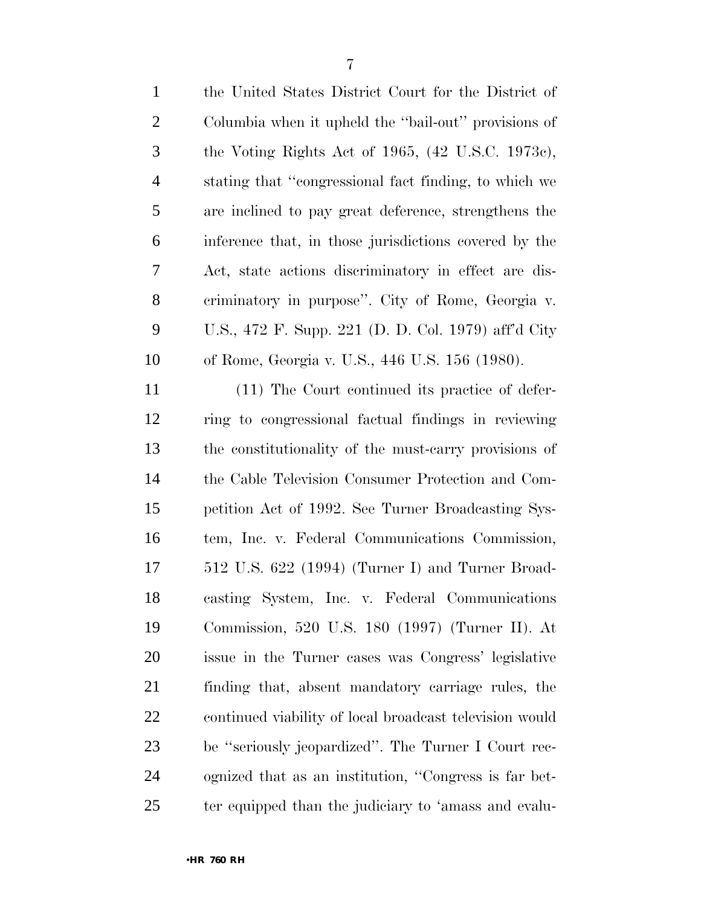| $\mathbf{2}$   | Columbia when it upheld the "bail-out" provisions of    |
|----------------|---------------------------------------------------------|
| 3              | the Voting Rights Act of 1965, (42 U.S.C. 1973c),       |
| $\overline{4}$ | stating that "congressional fact finding, to which we   |
| 5              | are inclined to pay great deference, strengthens the    |
| 6              | inference that, in those jurisdictions covered by the   |
| 7              | Act, state actions discriminatory in effect are dis-    |
| 8              | eriminatory in purpose". City of Rome, Georgia v.       |
| 9              | U.S., 472 F. Supp. 221 (D. D. Col. 1979) aff'd City     |
| 10             | of Rome, Georgia v. U.S., 446 U.S. 156 (1980).          |
| 11             | (11) The Court continued its practice of defer-         |
| 12             | ring to congressional factual findings in reviewing     |
| 13             | the constitutionality of the must-carry provisions of   |
| 14             | the Cable Television Consumer Protection and Com-       |
| 15             | petition Act of 1992. See Turner Broadcasting Sys-      |
| 16             | tem, Inc. v. Federal Communications Commission,         |
| 17             | 512 U.S. 622 (1994) (Turner I) and Turner Broad-        |
| 18             | casting System, Inc. v. Federal Communications          |
| 19             | Commission, 520 U.S. 180 (1997) (Turner II). At         |
| 20             | issue in the Turner cases was Congress' legislative     |
| 21             | finding that, absent mandatory carriage rules, the      |
| <u>22</u>      | continued viability of local broadcast television would |
| 23             | be "seriously jeopardized". The Turner I Court rec-     |
| 24             | ognized that as an institution, "Congress is far bet-   |
| 25             | ter equipped than the judiciary to 'amass and evalu-    |

the United States District Court for the District of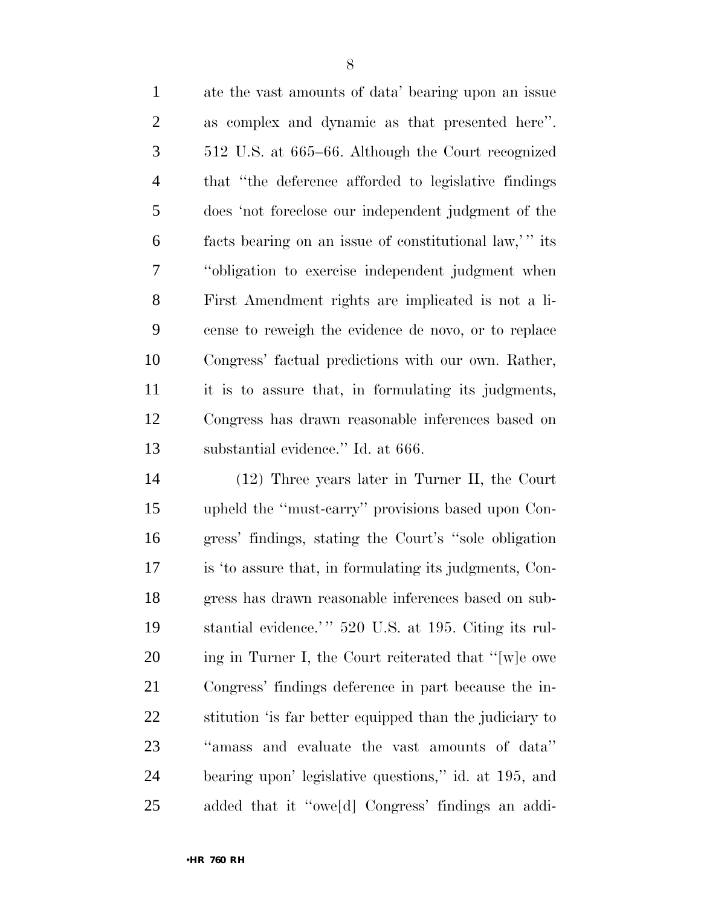ate the vast amounts of data' bearing upon an issue as complex and dynamic as that presented here''. 512 U.S. at 665–66. Although the Court recognized that ''the deference afforded to legislative findings does 'not foreclose our independent judgment of the facts bearing on an issue of constitutional law,' '' its ''obligation to exercise independent judgment when First Amendment rights are implicated is not a li- cense to reweigh the evidence de novo, or to replace Congress' factual predictions with our own. Rather, it is to assure that, in formulating its judgments, Congress has drawn reasonable inferences based on substantial evidence.'' Id. at 666.

 (12) Three years later in Turner II, the Court upheld the ''must-carry'' provisions based upon Con- gress' findings, stating the Court's ''sole obligation is 'to assure that, in formulating its judgments, Con- gress has drawn reasonable inferences based on sub-19 stantial evidence.'" 520 U.S. at 195. Citing its rul- ing in Turner I, the Court reiterated that ''[w]e owe Congress' findings deference in part because the in- stitution 'is far better equipped than the judiciary to ''amass and evaluate the vast amounts of data'' bearing upon' legislative questions,'' id. at 195, and added that it ''owe[d] Congress' findings an addi-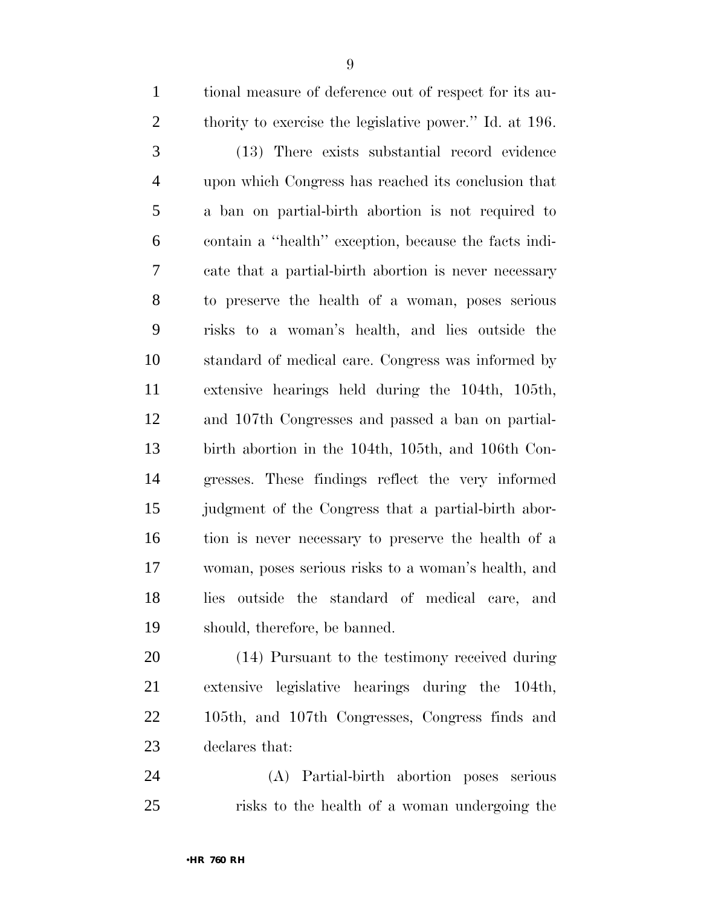tional measure of deference out of respect for its au-2 thority to exercise the legislative power." Id. at 196. (13) There exists substantial record evidence upon which Congress has reached its conclusion that a ban on partial-birth abortion is not required to contain a ''health'' exception, because the facts indi- cate that a partial-birth abortion is never necessary to preserve the health of a woman, poses serious risks to a woman's health, and lies outside the standard of medical care. Congress was informed by extensive hearings held during the 104th, 105th, and 107th Congresses and passed a ban on partial- birth abortion in the 104th, 105th, and 106th Con- gresses. These findings reflect the very informed judgment of the Congress that a partial-birth abor-tion is never necessary to preserve the health of a

 woman, poses serious risks to a woman's health, and lies outside the standard of medical care, and should, therefore, be banned.

 (14) Pursuant to the testimony received during extensive legislative hearings during the 104th, 105th, and 107th Congresses, Congress finds and declares that:

 (A) Partial-birth abortion poses serious risks to the health of a woman undergoing the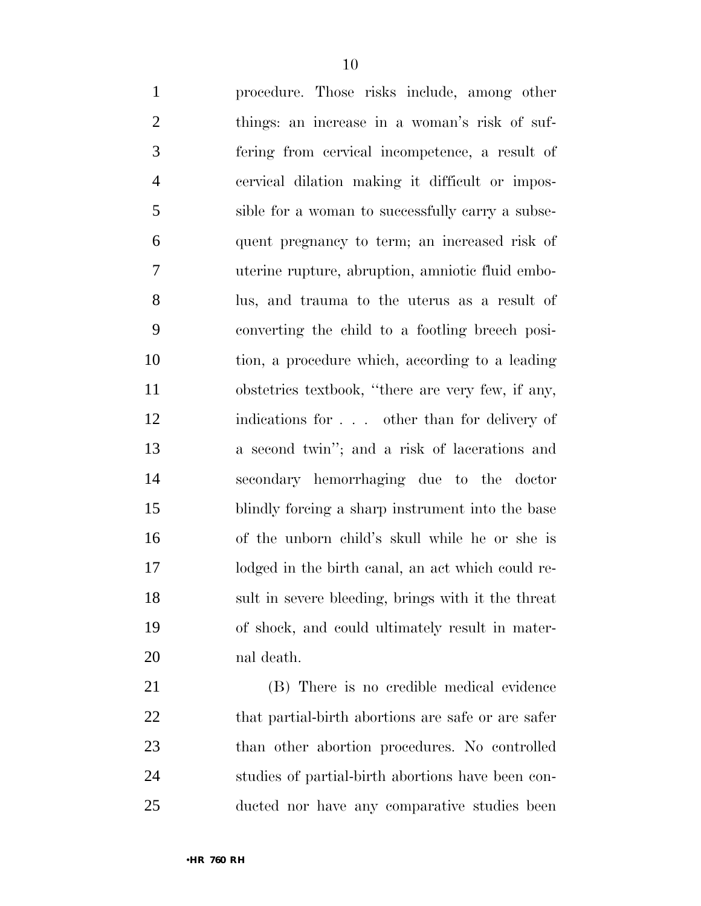procedure. Those risks include, among other things: an increase in a woman's risk of suf- fering from cervical incompetence, a result of cervical dilation making it difficult or impos- sible for a woman to successfully carry a subse- quent pregnancy to term; an increased risk of uterine rupture, abruption, amniotic fluid embo- lus, and trauma to the uterus as a result of converting the child to a footling breech posi- tion, a procedure which, according to a leading obstetrics textbook, ''there are very few, if any, indications for . . . other than for delivery of a second twin''; and a risk of lacerations and secondary hemorrhaging due to the doctor blindly forcing a sharp instrument into the base of the unborn child's skull while he or she is lodged in the birth canal, an act which could re- sult in severe bleeding, brings with it the threat of shock, and could ultimately result in mater-nal death.

 (B) There is no credible medical evidence 22 that partial-birth abortions are safe or are safer than other abortion procedures. No controlled studies of partial-birth abortions have been con-ducted nor have any comparative studies been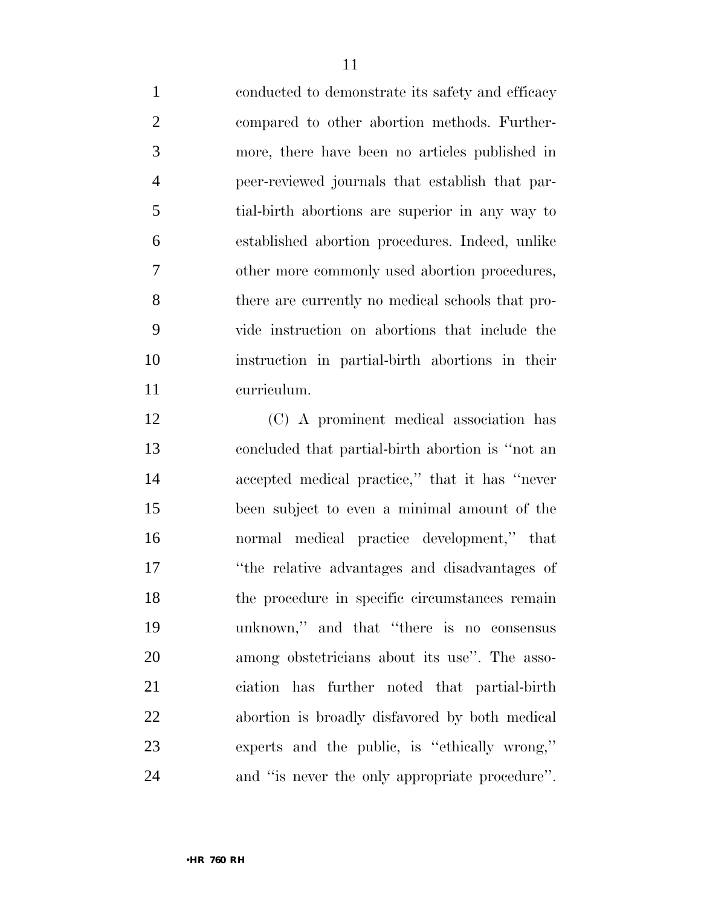conducted to demonstrate its safety and efficacy compared to other abortion methods. Further- more, there have been no articles published in peer-reviewed journals that establish that par- tial-birth abortions are superior in any way to established abortion procedures. Indeed, unlike other more commonly used abortion procedures, there are currently no medical schools that pro- vide instruction on abortions that include the instruction in partial-birth abortions in their curriculum.

 (C) A prominent medical association has concluded that partial-birth abortion is ''not an accepted medical practice,'' that it has ''never been subject to even a minimal amount of the normal medical practice development,'' that ''the relative advantages and disadvantages of the procedure in specific circumstances remain unknown,'' and that ''there is no consensus among obstetricians about its use''. The asso- ciation has further noted that partial-birth abortion is broadly disfavored by both medical experts and the public, is ''ethically wrong,'' and ''is never the only appropriate procedure''.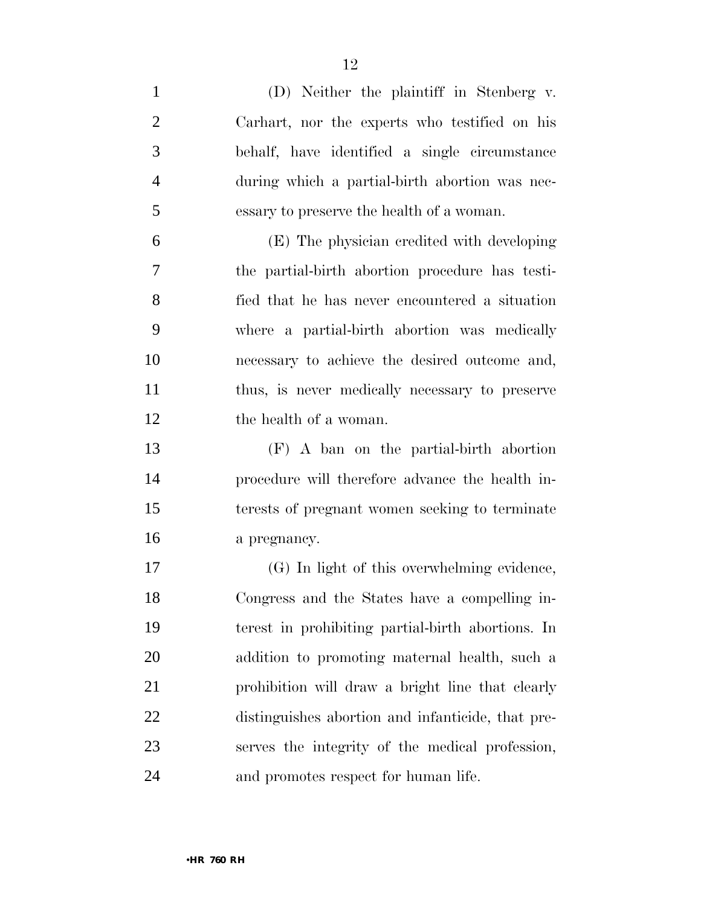| $\mathbf{1}$   | (D) Neither the plaintiff in Stenberg v.          |
|----------------|---------------------------------------------------|
| $\overline{2}$ | Carhart, nor the experts who testified on his     |
| 3              | behalf, have identified a single circumstance     |
| $\overline{4}$ | during which a partial-birth abortion was nec-    |
| 5              | essary to preserve the health of a woman.         |
| 6              | (E) The physician credited with developing        |
| 7              | the partial-birth abortion procedure has testi-   |
| 8              | fied that he has never encountered a situation    |
| 9              | where a partial-birth abortion was medically      |
| 10             | necessary to achieve the desired outcome and,     |
| 11             | thus, is never medically necessary to preserve    |
| 12             | the health of a woman.                            |
| 13             | (F) A ban on the partial-birth abortion           |
| 14             | procedure will therefore advance the health in-   |
| 15             | terests of pregnant women seeking to terminate    |
| 16             | a pregnancy.                                      |
| 17             | (G) In light of this overwhelming evidence,       |
| 18             | Congress and the States have a compelling in-     |
| 19             | terest in prohibiting partial-birth abortions. In |
| 20             | addition to promoting maternal health, such a     |
| 21             | prohibition will draw a bright line that clearly  |
| 22             | distinguishes abortion and infanticide, that pre- |
| 23             | serves the integrity of the medical profession,   |
| 24             | and promotes respect for human life.              |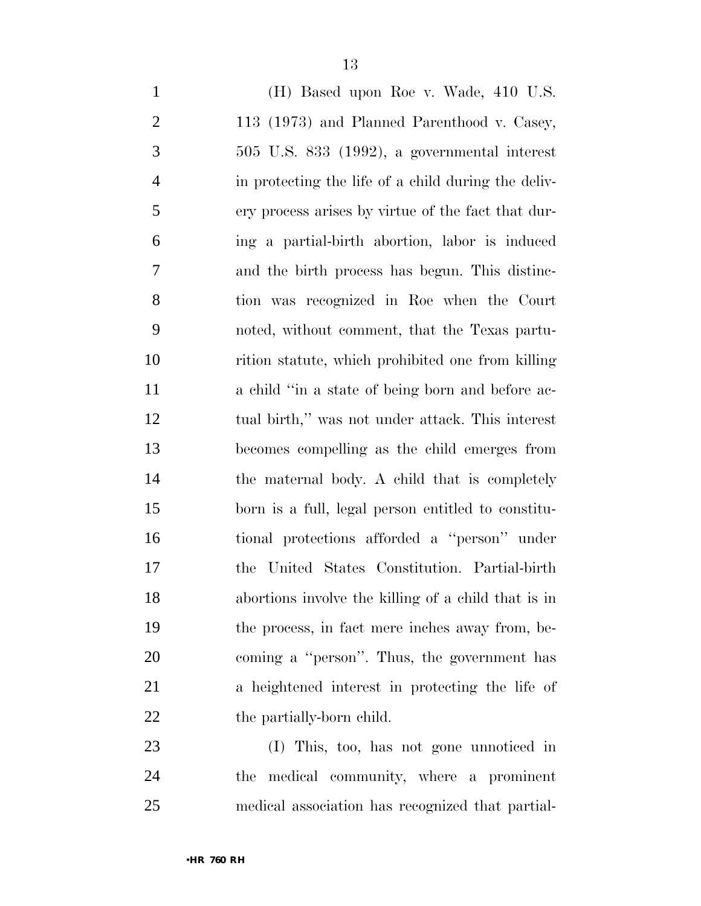| $\mathbf{1}$   | (H) Based upon Roe v. Wade, 410 U.S.                |
|----------------|-----------------------------------------------------|
| $\overline{2}$ | 113 (1973) and Planned Parenthood v. Casey,         |
| 3              | $505$ U.S. $833$ $(1992)$ , a governmental interest |
| $\overline{4}$ | in protecting the life of a child during the deliv- |
| 5              | ery process arises by virtue of the fact that dur-  |
| 6              | ing a partial-birth abortion, labor is induced      |
| 7              | and the birth process has begun. This distinc-      |
| 8              | tion was recognized in Roe when the Court           |
| 9              | noted, without comment, that the Texas partu-       |
| 10             | rition statute, which prohibited one from killing   |
| 11             | a child "in a state of being born and before ac-    |
| 12             | tual birth," was not under attack. This interest    |
| 13             | becomes compelling as the child emerges from        |
| 14             | the maternal body. A child that is completely       |
| 15             | born is a full, legal person entitled to constitu-  |
| 16             | tional protections afforded a "person" under        |
| 17             | United States Constitution. Partial-birth<br>the    |
| 18             | abortions involve the killing of a child that is in |
| 19             | the process, in fact mere inches away from, be-     |
| 20             | coming a "person". Thus, the government has         |
| 21             | a heightened interest in protecting the life of     |
| 22             | the partially-born child.                           |
| 23             | (I) This, too, has not gone unnoticed in            |

 the medical community, where a prominent medical association has recognized that partial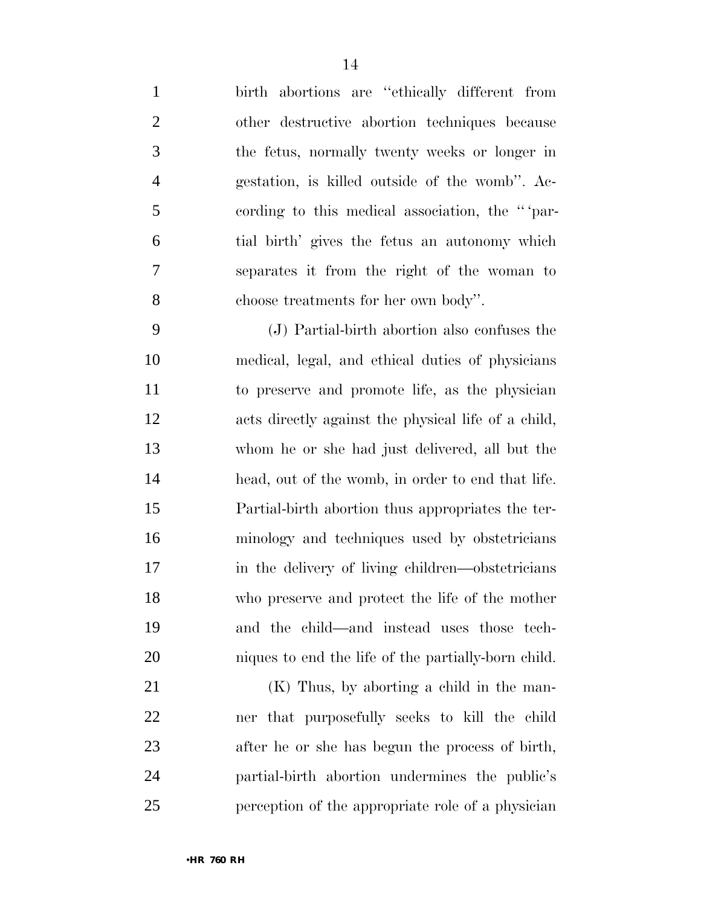birth abortions are ''ethically different from other destructive abortion techniques because the fetus, normally twenty weeks or longer in gestation, is killed outside of the womb''. Ac- cording to this medical association, the '' 'par- tial birth' gives the fetus an autonomy which separates it from the right of the woman to choose treatments for her own body''.

 (J) Partial-birth abortion also confuses the medical, legal, and ethical duties of physicians to preserve and promote life, as the physician acts directly against the physical life of a child, whom he or she had just delivered, all but the head, out of the womb, in order to end that life. Partial-birth abortion thus appropriates the ter- minology and techniques used by obstetricians 17 in the delivery of living children—obstetricians who preserve and protect the life of the mother and the child—and instead uses those tech-niques to end the life of the partially-born child.

 (K) Thus, by aborting a child in the man- ner that purposefully seeks to kill the child after he or she has begun the process of birth, partial-birth abortion undermines the public's perception of the appropriate role of a physician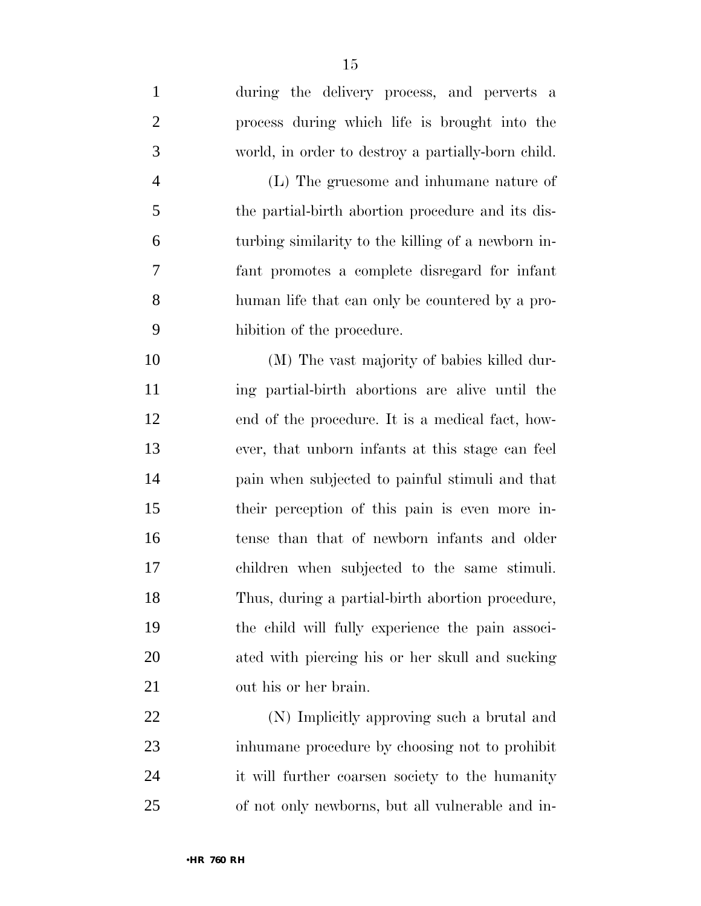during the delivery process, and perverts a process during which life is brought into the world, in order to destroy a partially-born child. (L) The gruesome and inhumane nature of the partial-birth abortion procedure and its dis- turbing similarity to the killing of a newborn in- fant promotes a complete disregard for infant human life that can only be countered by a pro- hibition of the procedure. (M) The vast majority of babies killed dur- ing partial-birth abortions are alive until the end of the procedure. It is a medical fact, how- ever, that unborn infants at this stage can feel pain when subjected to painful stimuli and that their perception of this pain is even more in- tense than that of newborn infants and older children when subjected to the same stimuli. Thus, during a partial-birth abortion procedure, the child will fully experience the pain associ- ated with piercing his or her skull and sucking out his or her brain. (N) Implicitly approving such a brutal and inhumane procedure by choosing not to prohibit

 it will further coarsen society to the humanity of not only newborns, but all vulnerable and in-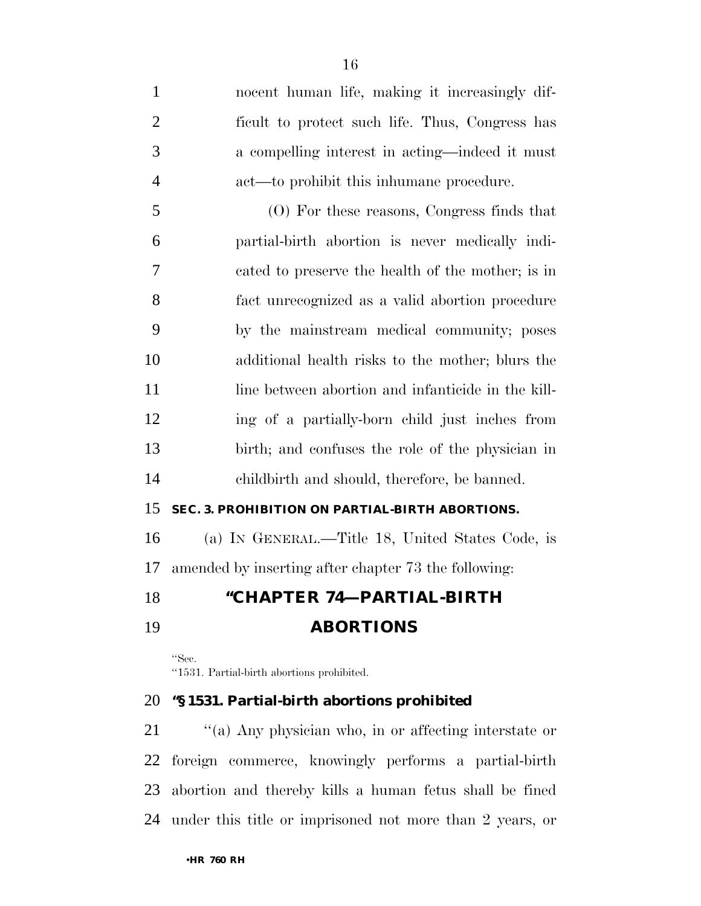nocent human life, making it increasingly dif- ficult to protect such life. Thus, Congress has a compelling interest in acting—indeed it must act—to prohibit this inhumane procedure. (O) For these reasons, Congress finds that partial-birth abortion is never medically indi- cated to preserve the health of the mother; is in fact unrecognized as a valid abortion procedure by the mainstream medical community; poses additional health risks to the mother; blurs the 11 line between abortion and infanticide in the kill- ing of a partially-born child just inches from birth; and confuses the role of the physician in childbirth and should, therefore, be banned. **SEC. 3. PROHIBITION ON PARTIAL-BIRTH ABORTIONS.**  (a) IN GENERAL.—Title 18, United States Code, is

amended by inserting after chapter 73 the following:

## **''CHAPTER 74—PARTIAL-BIRTH**

# **ABORTIONS**

''Sec. ''1531. Partial-birth abortions prohibited.

### **''§ 1531. Partial-birth abortions prohibited**

 ''(a) Any physician who, in or affecting interstate or foreign commerce, knowingly performs a partial-birth abortion and thereby kills a human fetus shall be fined under this title or imprisoned not more than 2 years, or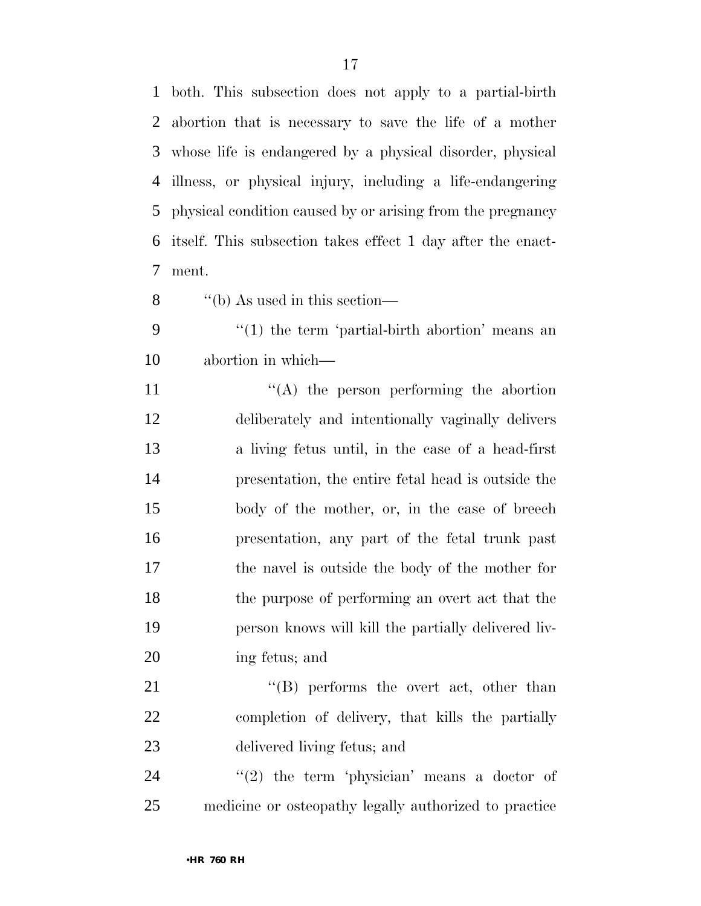both. This subsection does not apply to a partial-birth abortion that is necessary to save the life of a mother whose life is endangered by a physical disorder, physical illness, or physical injury, including a life-endangering physical condition caused by or arising from the pregnancy itself. This subsection takes effect 1 day after the enact-ment.

- ''(b) As used in this section—
- 9 "(1) the term 'partial-birth abortion' means an abortion in which—
- 11 ''(A) the person performing the abortion deliberately and intentionally vaginally delivers a living fetus until, in the case of a head-first presentation, the entire fetal head is outside the body of the mother, or, in the case of breech presentation, any part of the fetal trunk past the navel is outside the body of the mother for the purpose of performing an overt act that the person knows will kill the partially delivered liv-ing fetus; and

21 ''(B) performs the overt act, other than completion of delivery, that kills the partially delivered living fetus; and

 ''(2) the term 'physician' means a doctor of medicine or osteopathy legally authorized to practice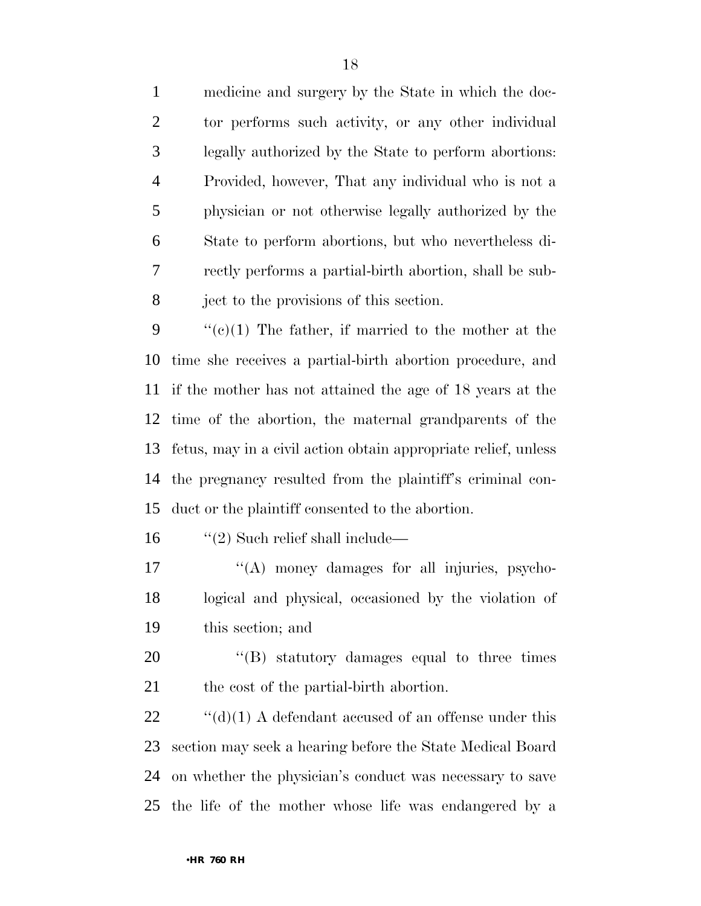medicine and surgery by the State in which the doc- tor performs such activity, or any other individual legally authorized by the State to perform abortions: Provided, however, That any individual who is not a physician or not otherwise legally authorized by the State to perform abortions, but who nevertheless di- rectly performs a partial-birth abortion, shall be sub-ject to the provisions of this section.

 $\frac{u'(c)}{1}$  The father, if married to the mother at the time she receives a partial-birth abortion procedure, and if the mother has not attained the age of 18 years at the time of the abortion, the maternal grandparents of the fetus, may in a civil action obtain appropriate relief, unless the pregnancy resulted from the plaintiff's criminal con-duct or the plaintiff consented to the abortion.

16  $\frac{1}{2}$  Such relief shall include—

17  $\langle (A) \rangle$  money damages for all injuries, psycho- logical and physical, occasioned by the violation of this section; and

20  $\langle$  (B) statutory damages equal to three times 21 the cost of the partial-birth abortion.

 $\cdot$  "(d)(1) A defendant accused of an offense under this section may seek a hearing before the State Medical Board on whether the physician's conduct was necessary to save the life of the mother whose life was endangered by a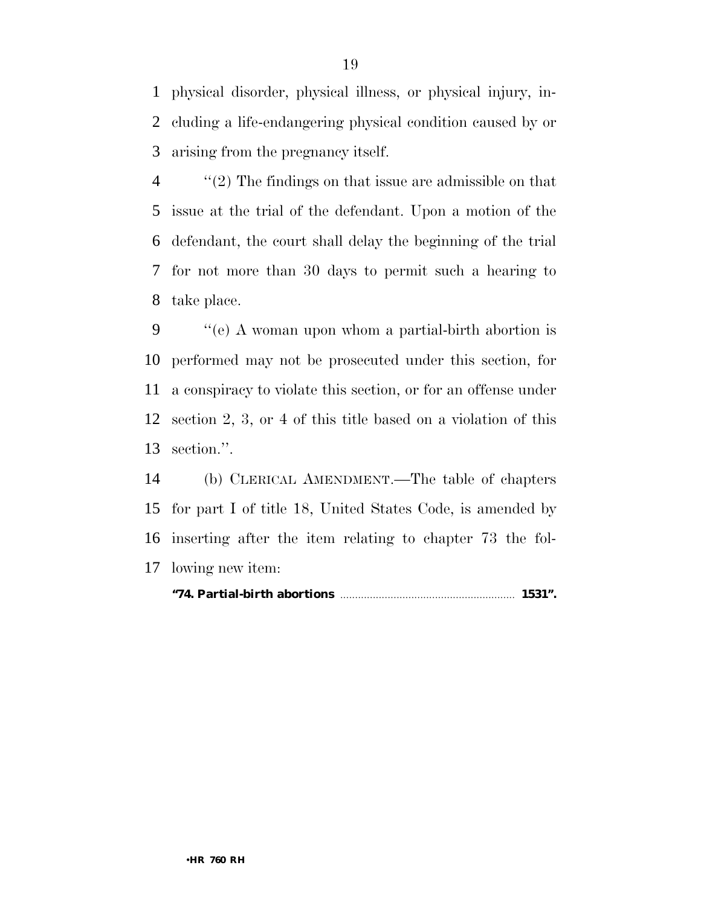physical disorder, physical illness, or physical injury, in- cluding a life-endangering physical condition caused by or arising from the pregnancy itself.

 ''(2) The findings on that issue are admissible on that issue at the trial of the defendant. Upon a motion of the defendant, the court shall delay the beginning of the trial for not more than 30 days to permit such a hearing to take place.

 ''(e) A woman upon whom a partial-birth abortion is performed may not be prosecuted under this section, for a conspiracy to violate this section, or for an offense under section 2, 3, or 4 of this title based on a violation of this section.''.

 (b) CLERICAL AMENDMENT.—The table of chapters for part I of title 18, United States Code, is amended by inserting after the item relating to chapter 73 the fol-lowing new item:

#### **''74. Partial-birth abortions** ........................................................... **1531''.**